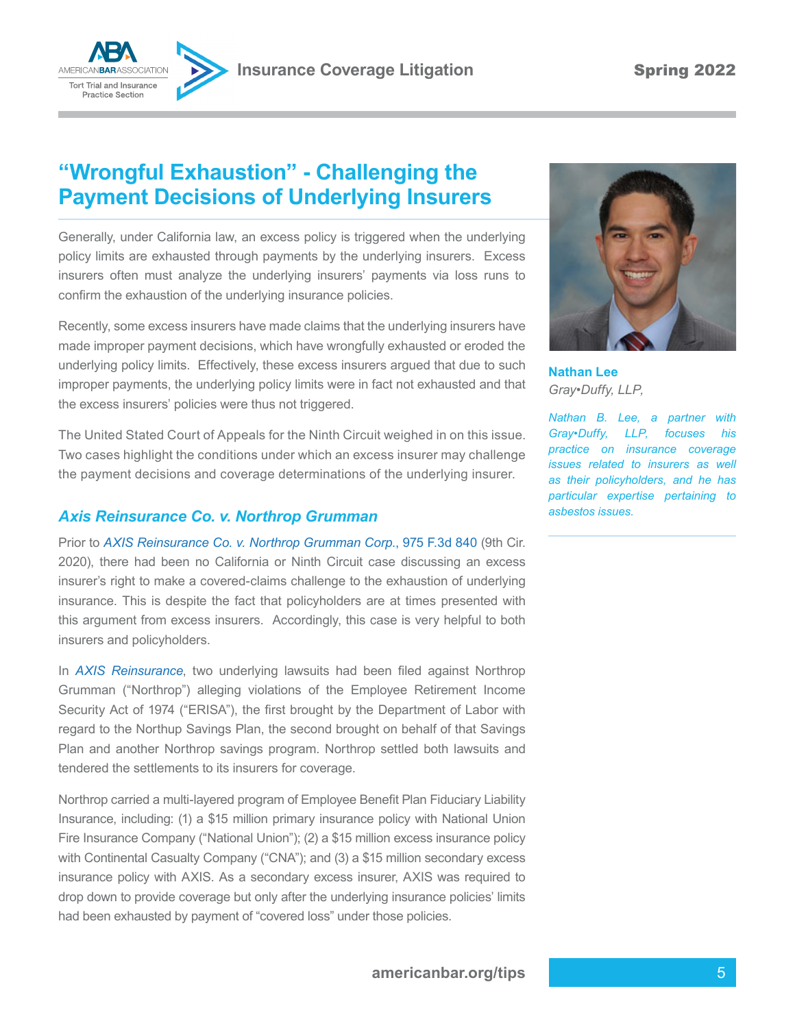

## **"Wrongful Exhaustion" - Challenging the**

Generally, under California law, an excess policy is triggered when the underlying policy limits are exhausted through payments by the underlying insurers. Excess insurers often must analyze the underlying insurers' payments via loss runs to confrm the exhaustion of the underlying insurance policies.

**Payment Decisions of Underlying Insurers**

Recently, some excess insurers have made claims that the underlying insurers have made improper payment decisions, which have wrongfully exhausted or eroded the underlying policy limits. Effectively, these excess insurers argued that due to such improper payments, the underlying policy limits were in fact not exhausted and that the excess insurers' policies were thus not triggered.

The United Stated Court of Appeals for the Ninth Circuit weighed in on this issue. Two cases highlight the conditions under which an excess insurer may challenge the payment decisions and coverage determinations of the underlying insurer.

## *Axis Reinsurance Co. v. Northrop Grumman*

Prior to *AXIS Reinsurance Co. v. Northrop Grumman Corp.*, 975 F.3d 840 (9th Cir. 2020), there had been no California or Ninth Circuit case discussing an excess insurer's right to make a covered-claims challenge to the exhaustion of underlying insurance. This is despite the fact that policyholders are at times presented with this argument from excess insurers. Accordingly, this case is very helpful to both insurers and policyholders.

In *AXIS Reinsurance*, two underlying lawsuits had been fled against Northrop Grumman ("Northrop") alleging violations of the Employee Retirement Income Security Act of 1974 ("ERISA"), the frst brought by the Department of Labor with regard to the Northup Savings Plan, the second brought on behalf of that Savings Plan and another Northrop savings program. Northrop settled both lawsuits and tendered the settlements to its insurers for coverage.

Northrop carried a multi-layered program of Employee Beneft Plan Fiduciary Liability Insurance, including: (1) a \$15 million primary insurance policy with National Union Fire Insurance Company ("National Union"); (2) a \$15 million excess insurance policy with Continental Casualty Company ("CNA"); and (3) a \$15 million secondary excess insurance policy with AXIS. As a secondary excess insurer, AXIS was required to drop down to provide coverage but only after the underlying insurance policies' limits had been exhausted by payment of "covered loss" under those policies.



**Nathan Lee** *Gray•Duffy, LLP,*

*Nathan B. Lee, a partner with Gray•Duffy, LLP, focuses his practice on insurance coverage issues related to insurers as well as their policyholders, and he has particular expertise pertaining to asbestos issues.*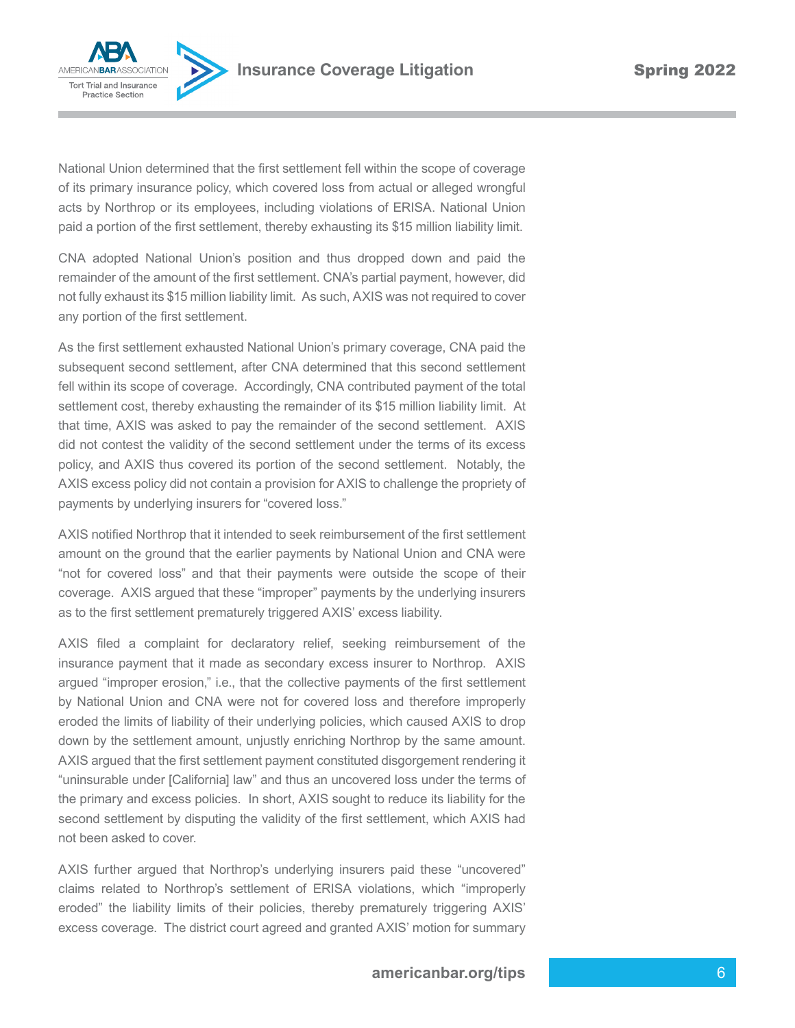

National Union determined that the frst settlement fell within the scope of coverage of its primary insurance policy, which covered loss from actual or alleged wrongful acts by Northrop or its employees, including violations of ERISA. National Union paid a portion of the frst settlement, thereby exhausting its \$15 million liability limit.

CNA adopted National Union's position and thus dropped down and paid the remainder of the amount of the frst settlement. CNA's partial payment, however, did not fully exhaust its \$15 million liability limit. As such, AXIS was not required to cover any portion of the first settlement.

As the first settlement exhausted National Union's primary coverage, CNA paid the subsequent second settlement, after CNA determined that this second settlement fell within its scope of coverage. Accordingly, CNA contributed payment of the total settlement cost, thereby exhausting the remainder of its \$15 million liability limit. At that time, AXIS was asked to pay the remainder of the second settlement. AXIS did not contest the validity of the second settlement under the terms of its excess policy, and AXIS thus covered its portion of the second settlement. Notably, the AXIS excess policy did not contain a provision for AXIS to challenge the propriety of payments by underlying insurers for "covered loss."

AXIS notified Northrop that it intended to seek reimbursement of the first settlement amount on the ground that the earlier payments by National Union and CNA were "not for covered loss" and that their payments were outside the scope of their coverage. AXIS argued that these "improper" payments by the underlying insurers as to the first settlement prematurely triggered AXIS' excess liability.

AXIS fled a complaint for declaratory relief, seeking reimbursement of the insurance payment that it made as secondary excess insurer to Northrop. AXIS argued "improper erosion," i.e., that the collective payments of the first settlement by National Union and CNA were not for covered loss and therefore improperly eroded the limits of liability of their underlying policies, which caused AXIS to drop down by the settlement amount, unjustly enriching Northrop by the same amount. AXIS argued that the frst settlement payment constituted disgorgement rendering it "uninsurable under [California] law" and thus an uncovered loss under the terms of the primary and excess policies. In short, AXIS sought to reduce its liability for the second settlement by disputing the validity of the frst settlement, which AXIS had not been asked to cover.

AXIS further argued that Northrop's underlying insurers paid these "uncovered" claims related to Northrop's settlement of ERISA violations, which "improperly eroded" the liability limits of their policies, thereby prematurely triggering AXIS' excess coverage. The district court agreed and granted AXIS' motion for summary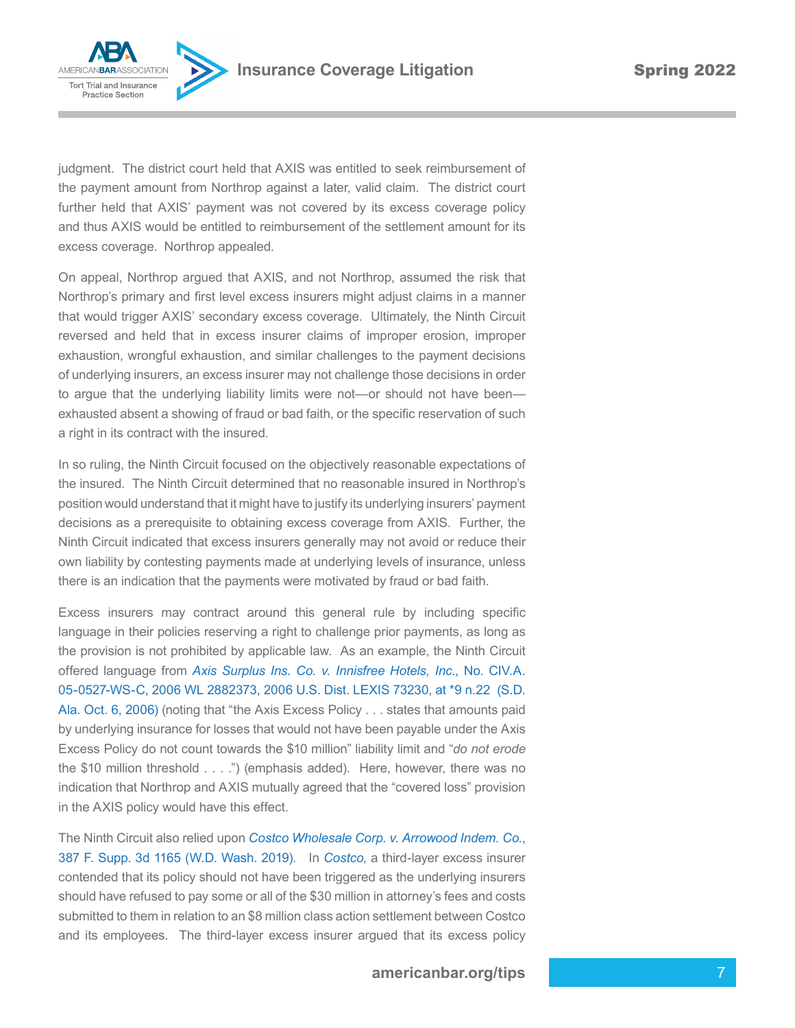**AMERICANBARA** Tort Trial and Insurance **Practice Section** 

judgment. The district court held that AXIS was entitled to seek reimbursement of the payment amount from Northrop against a later, valid claim. The district court further held that AXIS' payment was not covered by its excess coverage policy and thus AXIS would be entitled to reimbursement of the settlement amount for its excess coverage. Northrop appealed.

On appeal, Northrop argued that AXIS, and not Northrop, assumed the risk that Northrop's primary and frst level excess insurers might adjust claims in a manner that would trigger AXIS' secondary excess coverage. Ultimately, the Ninth Circuit reversed and held that in excess insurer claims of improper erosion, improper exhaustion, wrongful exhaustion, and similar challenges to the payment decisions of underlying insurers, an excess insurer may not challenge those decisions in order to argue that the underlying liability limits were not—or should not have been exhausted absent a showing of fraud or bad faith, or the specific reservation of such a right in its contract with the insured.

In so ruling, the Ninth Circuit focused on the objectively reasonable expectations of the insured. The Ninth Circuit determined that no reasonable insured in Northrop's position would understand that it might have to justify its underlying insurers' payment decisions as a prerequisite to obtaining excess coverage from AXIS. Further, the Ninth Circuit indicated that excess insurers generally may not avoid or reduce their own liability by contesting payments made at underlying levels of insurance, unless there is an indication that the payments were motivated by fraud or bad faith.

Excess insurers may contract around this general rule by including specifc language in their policies reserving a right to challenge prior payments, as long as the provision is not prohibited by applicable law. As an example, the Ninth Circuit offered language from *Axis Surplus Ins. Co. v. Innisfree Hotels, Inc.*, No. CIV.A. 05-0527-WS-C, 2006 WL 2882373, 2006 U.S. Dist. LEXIS 73230, at \*9 n.22 (S.D. Ala. Oct. 6, 2006) (noting that "the Axis Excess Policy . . . states that amounts paid by underlying insurance for losses that would not have been payable under the Axis Excess Policy do not count towards the \$10 million" liability limit and "*do not erode* the \$10 million threshold . . . .") (emphasis added). Here, however, there was no indication that Northrop and AXIS mutually agreed that the "covered loss" provision in the AXIS policy would have this effect.

The Ninth Circuit also relied upon *Costco Wholesale Corp. v. Arrowood Indem. Co.*, 387 F. Supp. 3d 1165 (W.D. Wash. 2019). In *Costco*, a third-layer excess insurer contended that its policy should not have been triggered as the underlying insurers should have refused to pay some or all of the \$30 million in attorney's fees and costs submitted to them in relation to an \$8 million class action settlement between Costco and its employees. The third-layer excess insurer argued that its excess policy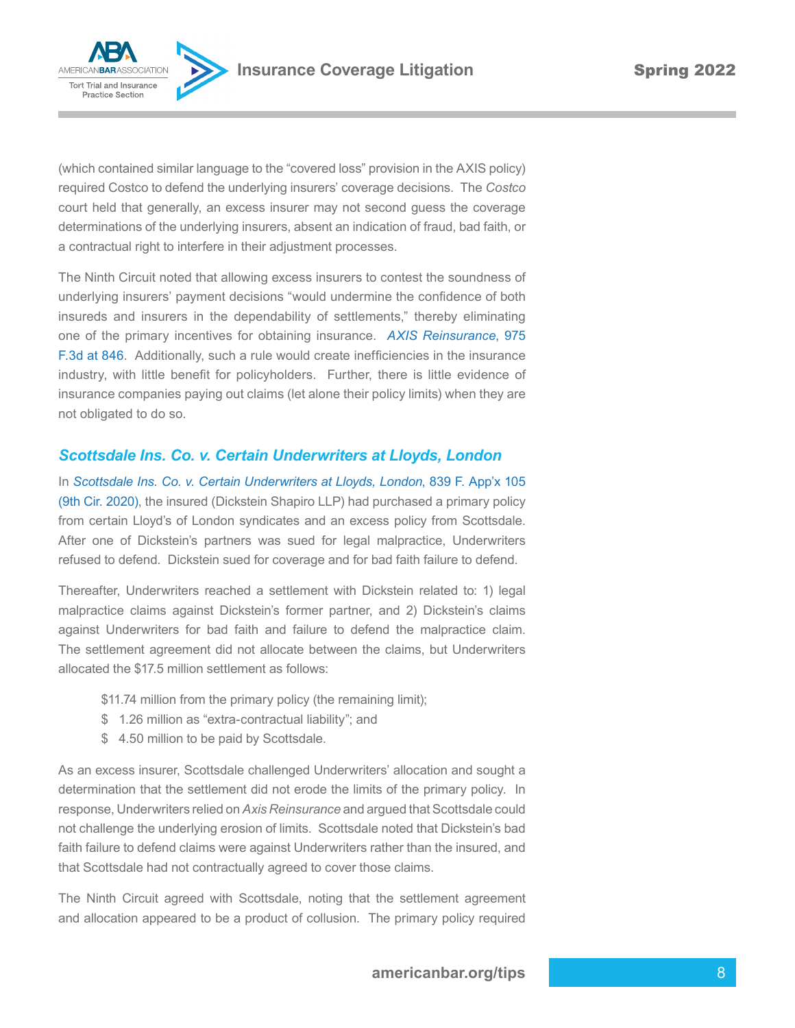

(which contained similar language to the "covered loss" provision in the AXIS policy) required Costco to defend the underlying insurers' coverage decisions. The *Costco* court held that generally, an excess insurer may not second guess the coverage determinations of the underlying insurers, absent an indication of fraud, bad faith, or a contractual right to interfere in their adjustment processes.

The Ninth Circuit noted that allowing excess insurers to contest the soundness of underlying insurers' payment decisions "would undermine the confdence of both insureds and insurers in the dependability of settlements," thereby eliminating one of the primary incentives for obtaining insurance. *AXIS Reinsurance*, 975 F.3d at 846. Additionally, such a rule would create ineffciencies in the insurance industry, with little beneft for policyholders. Further, there is little evidence of insurance companies paying out claims (let alone their policy limits) when they are not obligated to do so.

## *Scottsdale Ins. Co. v. Certain Underwriters at Lloyds, London*

In *Scottsdale Ins. Co. v. Certain Underwriters at Lloyds, London*, 839 F. App'x 105 (9th Cir. 2020), the insured (Dickstein Shapiro LLP) had purchased a primary policy from certain Lloyd's of London syndicates and an excess policy from Scottsdale. After one of Dickstein's partners was sued for legal malpractice, Underwriters refused to defend. Dickstein sued for coverage and for bad faith failure to defend.

Thereafter, Underwriters reached a settlement with Dickstein related to: 1) legal malpractice claims against Dickstein's former partner, and 2) Dickstein's claims against Underwriters for bad faith and failure to defend the malpractice claim. The settlement agreement did not allocate between the claims, but Underwriters allocated the \$17.5 million settlement as follows:

- \$11.74 million from the primary policy (the remaining limit);
- \$ 1.26 million as "extra-contractual liability"; and
- \$ 4.50 million to be paid by Scottsdale.

As an excess insurer, Scottsdale challenged Underwriters' allocation and sought a determination that the settlement did not erode the limits of the primary policy. In response, Underwriters relied on *Axis Reinsurance* and argued that Scottsdale could not challenge the underlying erosion of limits. Scottsdale noted that Dickstein's bad faith failure to defend claims were against Underwriters rather than the insured, and that Scottsdale had not contractually agreed to cover those claims.

The Ninth Circuit agreed with Scottsdale, noting that the settlement agreement and allocation appeared to be a product of collusion. The primary policy required